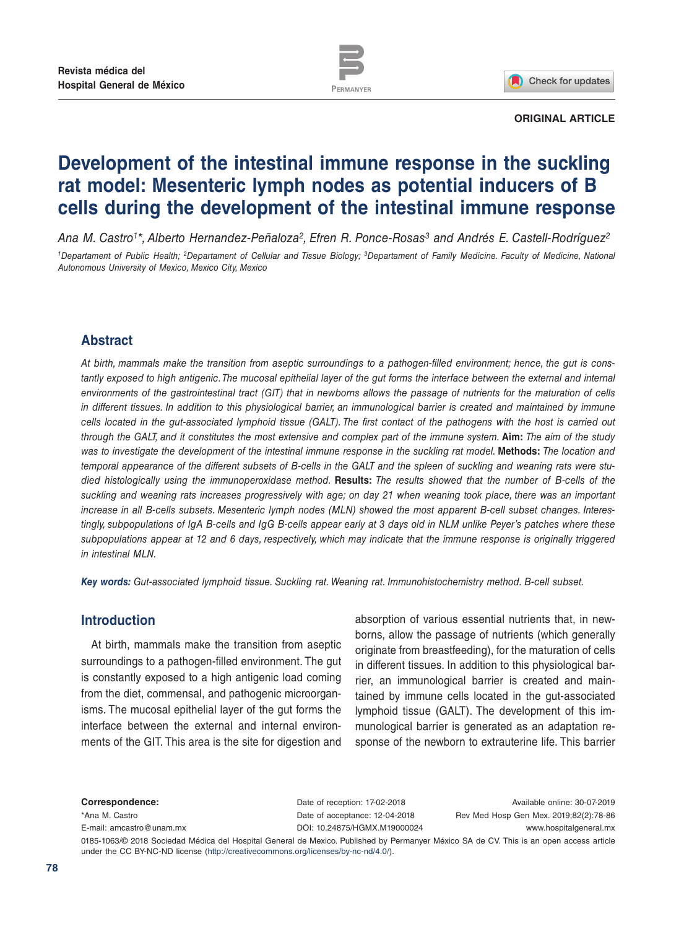



### **ORIGINAL ARTICLE**

# **Development of the intestinal immune response in the suckling rat model: Mesenteric lymph nodes as potential inducers of B cells during the development of the intestinal immune response**

*Ana M. Castr[o1\\*](#page-0-0), Alberto Hernandez-Peñaloza[2,](#page-0-0) Efren R. Ponce-Rosas[3](#page-0-0) and Andrés E. Castell-Rodríguez[2](#page-0-0) 1Departament of Public Health; 2Departament of Cellular and Tissue Biology; 3Departament of Family Medicine. Faculty of Medicine, National Autonomous University of Mexico, Mexico City, Mexico*

# **Abstract**

*At birth, mammals make the transition from aseptic surroundings to a pathogen-filled environment; hence, the gut is constantly exposed to high antigenic. The mucosal epithelial layer of the gut forms the interface between the external and internal environments of the gastrointestinal tract (GIT) that in newborns allows the passage of nutrients for the maturation of cells in different tissues. In addition to this physiological barrier, an immunological barrier is created and maintained by immune cells located in the gut-associated lymphoid tissue (GALT). The first contact of the pathogens with the host is carried out through the GALT, and it constitutes the most extensive and complex part of the immune system.* **Aim:** *The aim of the study was to investigate the development of the intestinal immune response in the suckling rat model.* **Methods:** *The location and temporal appearance of the different subsets of B-cells in the GALT and the spleen of suckling and weaning rats were studied histologically using the immunoperoxidase method.* **Results:** *The results showed that the number of B-cells of the suckling and weaning rats increases progressively with age; on day 21 when weaning took place, there was an important increase in all B-cells subsets. Mesenteric lymph nodes (MLN) showed the most apparent B-cell subset changes. Interestingly, subpopulations of IgA B-cells and IgG B-cells appear early at 3 days old in NLM unlike Peyer's patches where these subpopulations appear at 12 and 6 days, respectively, which may indicate that the immune response is originally triggered in intestinal MLN.*

*Key words: Gut-associated lymphoid tissue. Suckling rat. Weaning rat. Immunohistochemistry method. B-cell subset.*

# **Introduction**

At birth, mammals make the transition from aseptic surroundings to a pathogen-filled environment. The gut is constantly exposed to a high antigenic load coming from the diet, commensal, and pathogenic microorganisms. The mucosal epithelial layer of the gut forms the interface between the external and internal environments of the GIT. This area is the site for digestion and

absorption of various essential nutrients that, in newborns, allow the passage of nutrients (which generally originate from breastfeeding), for the maturation of cells in different tissues. In addition to this physiological barrier, an immunological barrier is created and maintained by immune cells located in the gut-associated lymphoid tissue (GALT). The development of this immunological barrier is generated as an adaptation response of the newborn to extrauterine life. This barrier

**Correspondence:**

\*Ana M. Castro E-mail: amcastro@unam.mx Date of reception: 17-02-2018 Date of acceptance: 12-04-2018 DOI: [10.24875/HGMX.M19000024](http://dx.doi.org/10.24875/HGMX.M19000024)

Available online: 30-07-2019 Rev Med Hosp Gen Mex. 2019;82(2):78-86 www.hospitalgeneral.mx

<span id="page-0-0"></span>0185-1063/© 2018 Sociedad Médica del Hospital General de Mexico. Published by Permanyer México SA de CV. This is an open access article under the CC BY-NC-ND license (http://creativecommons.org/licenses/by-nc-nd/4.0/).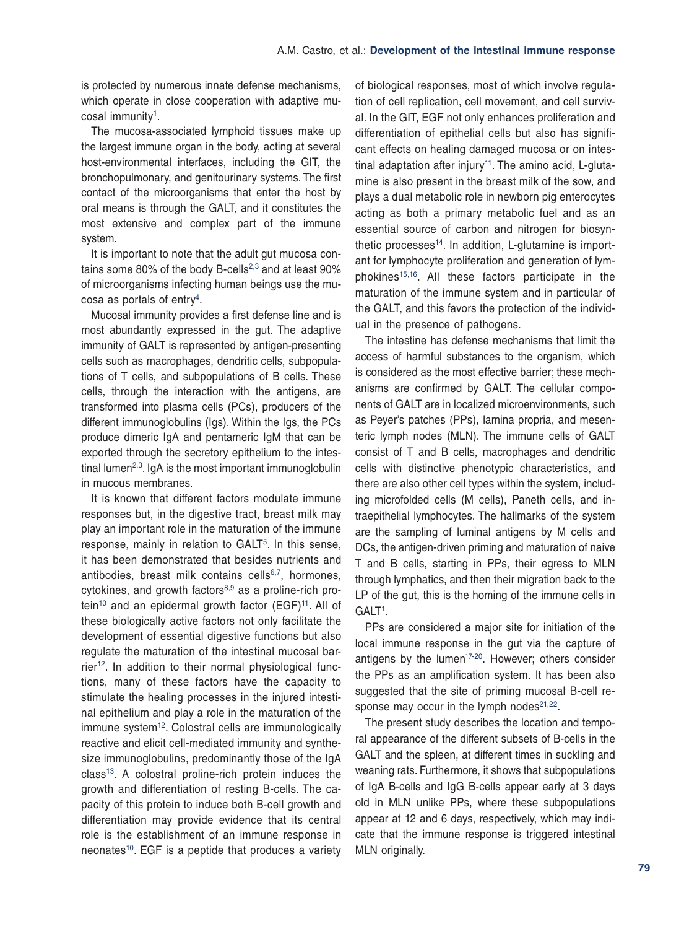is protected by numerous innate defense mechanisms, which operate in close cooperation with adaptive mu-cosal immunity<sup>[1](#page-8-0)</sup>.

The mucosa-associated lymphoid tissues make up the largest immune organ in the body, acting at several host-environmental interfaces, including the GIT, the bronchopulmonary, and genitourinary systems. The first contact of the microorganisms that enter the host by oral means is through the GALT, and it constitutes the most extensive and complex part of the immune system.

It is important to note that the adult gut mucosa con-tains some 80% of the body B-cells<sup>[2](#page-8-1),[3](#page-8-2)</sup> and at least 90% of microorganisms infecting human beings use the mucosa as portals of entr[y4.](#page-8-3)

Mucosal immunity provides a first defense line and is most abundantly expressed in the gut. The adaptive immunity of GALT is represented by antigen-presenting cells such as macrophages, dendritic cells, subpopulations of T cells, and subpopulations of B cells. These cells, through the interaction with the antigens, are transformed into plasma cells (PCs), producers of the different immunoglobulins (Igs). Within the Igs, the PCs produce dimeric IgA and pentameric IgM that can be exported through the secretory epithelium to the intestinal lumen<sup>2,3</sup>. IgA is the most important immunoglobulin in mucous membranes.

It is known that different factors modulate immune responses but, in the digestive tract, breast milk may play an important role in the maturation of the immune response, mainly in relation to GALT<sup>[5](#page-8-4)</sup>. In this sense, it has been demonstrated that besides nutrients and antibodies, breast milk contains cells $6,7$ , hormones. cytokines, and growth factors<sup>[8](#page-8-7),[9](#page-8-8)</sup> as a proline-rich pro-tein<sup>[10](#page-8-9)</sup> and an epidermal growth factor  $(EGF)^{11}$ . All of these biologically active factors not only facilitate the development of essential digestive functions but also regulate the maturation of the intestinal mucosal barrier<sup>12</sup>. In addition to their normal physiological functions, many of these factors have the capacity to stimulate the healing processes in the injured intestinal epithelium and play a role in the maturation of the immune system<sup>[12](#page-8-11)</sup>. Colostral cells are immunologically reactive and elicit cell-mediated immunity and synthesize immunoglobulins, predominantly those of the IgA  $class<sup>13</sup>$  $class<sup>13</sup>$  $class<sup>13</sup>$ . A colostral proline-rich protein induces the growth and differentiation of resting B-cells. The capacity of this protein to induce both B-cell growth and differentiation may provide evidence that its central role is the establishment of an immune response in neonates<sup>[10](#page-8-9)</sup>. EGF is a peptide that produces a variety of biological responses, most of which involve regulation of cell replication, cell movement, and cell survival. In the GIT, EGF not only enhances proliferation and differentiation of epithelial cells but also has significant effects on healing damaged mucosa or on intestinal adaptation after injury<sup>11</sup>. The amino acid, L-glutamine is also present in the breast milk of the sow, and plays a dual metabolic role in newborn pig enterocytes acting as both a primary metabolic fuel and as an essential source of carbon and nitrogen for biosynthetic processes $14$ . In addition, L-glutamine is important for lymphocyte proliferation and generation of lym-phokines<sup>[15](#page-8-13),16</sup>. All these factors participate in the maturation of the immune system and in particular of the GALT, and this favors the protection of the individual in the presence of pathogens.

The intestine has defense mechanisms that limit the access of harmful substances to the organism, which is considered as the most effective barrier; these mechanisms are confirmed by GALT. The cellular components of GALT are in localized microenvironments, such as Peyer's patches (PPs), lamina propria, and mesenteric lymph nodes (MLN). The immune cells of GALT consist of T and B cells, macrophages and dendritic cells with distinctive phenotypic characteristics, and there are also other cell types within the system, including microfolded cells (M cells), Paneth cells, and intraepithelial lymphocytes. The hallmarks of the system are the sampling of luminal antigens by M cells and DCs, the antigen-driven priming and maturation of naive T and B cells, starting in PPs, their egress to MLN through lymphatics, and then their migration back to the LP of the gut, this is the homing of the immune cells in GALT<sup>1</sup>.

PPs are considered a major site for initiation of the local immune response in the gut via the capture of antigens by the lumen $17-20$  $17-20$ . However; others consider the PPs as an amplification system. It has been also suggested that the site of priming mucosal B-cell response may occur in the lymph nodes $21,22$ .

The present study describes the location and temporal appearance of the different subsets of B-cells in the GALT and the spleen, at different times in suckling and weaning rats. Furthermore, it shows that subpopulations of IgA B-cells and IgG B-cells appear early at 3 days old in MLN unlike PPs, where these subpopulations appear at 12 and 6 days, respectively, which may indicate that the immune response is triggered intestinal MLN originally.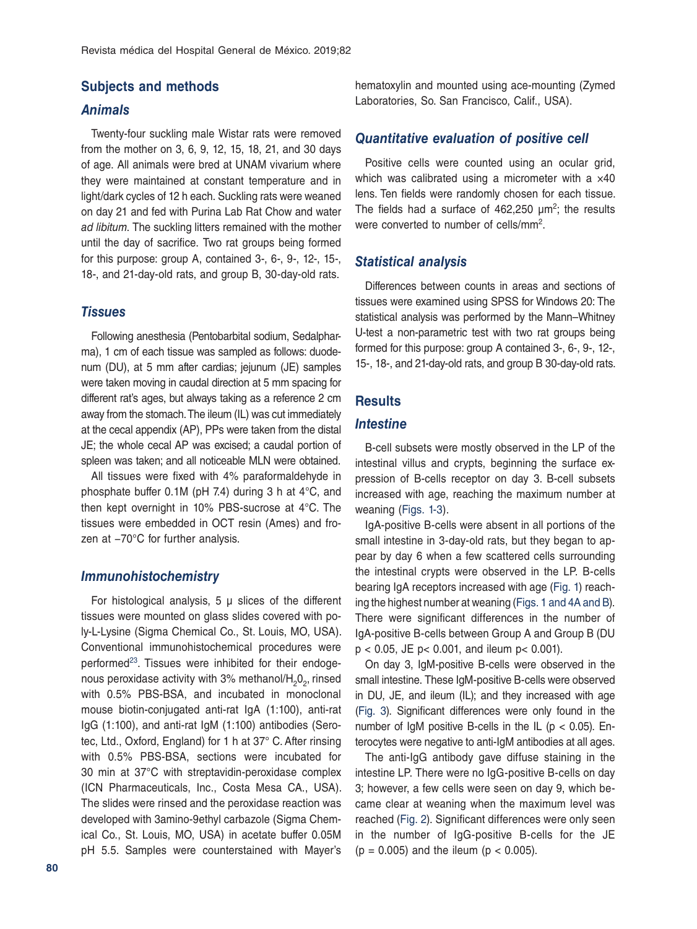### **Subjects and methods**

## *Animals*

Twenty-four suckling male Wistar rats were removed from the mother on 3, 6, 9, 12, 15, 18, 21, and 30 days of age. All animals were bred at UNAM vivarium where they were maintained at constant temperature and in light/dark cycles of 12 h each. Suckling rats were weaned on day 21 and fed with Purina Lab Rat Chow and water *ad libitum*. The suckling litters remained with the mother until the day of sacrifice. Two rat groups being formed for this purpose: group A, contained 3-, 6-, 9-, 12-, 15-, 18-, and 21-day-old rats, and group B, 30-day-old rats.

## *Tissues*

Following anesthesia (Pentobarbital sodium, Sedalpharma), 1 cm of each tissue was sampled as follows: duodenum (DU), at 5 mm after cardias; jejunum (JE) samples were taken moving in caudal direction at 5 mm spacing for different rat's ages, but always taking as a reference 2 cm away from the stomach. The ileum (IL) was cut immediately at the cecal appendix (AP), PPs were taken from the distal JE; the whole cecal AP was excised; a caudal portion of spleen was taken; and all noticeable MLN were obtained.

All tissues were fixed with 4% paraformaldehyde in phosphate buffer 0.1M (pH 7.4) during 3 h at 4°C, and then kept overnight in 10% PBS-sucrose at 4°C. The tissues were embedded in OCT resin (Ames) and frozen at −70°C for further analysis.

## *Immunohistochemistry*

For histological analysis,  $5 \mu$  slices of the different tissues were mounted on glass slides covered with poly-L-Lysine (Sigma Chemical Co., St. Louis, MO, USA). Conventional immunohistochemical procedures were performed<sup>23</sup>. Tissues were inhibited for their endogenous peroxidase activity with 3% methanol/ $H_2O_2$ , rinsed with 0.5% PBS-BSA, and incubated in monoclonal mouse biotin-conjugated anti-rat IgA (1:100), anti-rat IgG (1:100), and anti-rat IgM (1:100) antibodies (Serotec, Ltd., Oxford, England) for 1 h at 37° C. After rinsing with 0.5% PBS-BSA, sections were incubated for 30 min at 37°C with streptavidin-peroxidase complex (ICN Pharmaceuticals, Inc., Costa Mesa CA., USA). The slides were rinsed and the peroxidase reaction was developed with 3amino-9ethyl carbazole (Sigma Chemical Co., St. Louis, MO, USA) in acetate buffer 0.05M pH 5.5. Samples were counterstained with Mayer's

hematoxylin and mounted using ace-mounting (Zymed Laboratories, So. San Francisco, Calif., USA).

## *Quantitative evaluation of positive cell*

Positive cells were counted using an ocular grid, which was calibrated using a micrometer with a  $\times$ 40 lens. Ten fields were randomly chosen for each tissue. The fields had a surface of  $462,250 \mu m^2$ ; the results were converted to number of cells/mm2.

## *Statistical analysis*

Differences between counts in areas and sections of tissues were examined using SPSS for Windows 20: The statistical analysis was performed by the Mann–Whitney U-test a non-parametric test with two rat groups being formed for this purpose: group A contained 3-, 6-, 9-, 12-, 15-, 18-, and 21-day-old rats, and group B 30-day-old rats.

# **Results**

#### *Intestine*

B-cell subsets were mostly observed in the LP of the intestinal villus and crypts, beginning the surface expression of B-cells receptor on day 3. B-cell subsets increased with age, reaching the maximum number at weaning ([Figs. 1](#page-3-0)[-3](#page-5-0)).

IgA-positive B-cells were absent in all portions of the small intestine in 3-day-old rats, but they began to appear by day 6 when a few scattered cells surrounding the intestinal crypts were observed in the LP. B-cells bearing IgA receptors increased with age [\(Fig. 1\)](#page-3-0) reaching the highest number at weaning [\(Figs. 1](#page-3-0) [and 4A and B\)](#page-6-0). There were significant differences in the number of IgA-positive B-cells between Group A and Group B (DU p < 0.05, JE p< 0.001, and ileum p< 0.001).

On day 3, IgM-positive B-cells were observed in the small intestine. These IgM-positive B-cells were observed in DU, JE, and ileum (IL); and they increased with age [\(Fig. 3\)](#page-5-0). Significant differences were only found in the number of IgM positive B-cells in the IL ( $p < 0.05$ ). Enterocytes were negative to anti-IgM antibodies at all ages.

The anti-IgG antibody gave diffuse staining in the intestine LP. There were no IgG-positive B-cells on day 3; however, a few cells were seen on day 9, which became clear at weaning when the maximum level was reached [\(Fig. 2](#page-4-0)). Significant differences were only seen in the number of IgG-positive B-cells for the JE  $(p = 0.005)$  and the ileum  $(p < 0.005)$ .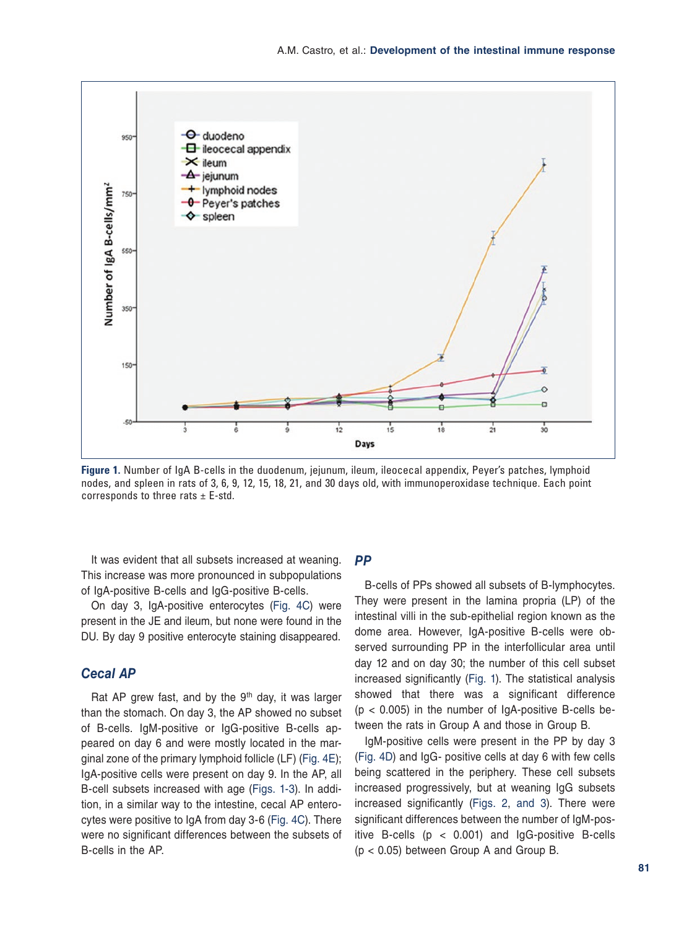<span id="page-3-0"></span>

**Figure 1.** Number of IgA B-cells in the duodenum, jejunum, ileum, ileocecal appendix, Peyer's patches, lymphoid nodes, and spleen in rats of 3, 6, 9, 12, 15, 18, 21, and 30 days old, with immunoperoxidase technique. Each point corresponds to three rats  $\pm$  E-std.

It was evident that all subsets increased at weaning. This increase was more pronounced in subpopulations of IgA-positive B-cells and IgG-positive B-cells.

On day 3, IgA-positive enterocytes [\(Fig. 4C\)](#page-6-0) were present in the JE and ileum, but none were found in the DU. By day 9 positive enterocyte staining disappeared.

# *Cecal AP*

Rat AP grew fast, and by the  $9<sup>th</sup>$  day, it was larger than the stomach. On day 3, the AP showed no subset of B-cells. IgM-positive or IgG-positive B-cells appeared on day 6 and were mostly located in the marginal zone of the primary lymphoid follicle (LF) [\(Fig. 4E\)](#page-6-0); IgA-positive cells were present on day 9. In the AP, all B-cell subsets increased with age (Figs. [1-3\)](#page-5-0). In addition, in a similar way to the intestine, cecal AP enterocytes were positive to IgA from day 3-6 [\(Fig. 4C](#page-6-0)). There were no significant differences between the subsets of B-cells in the AP.

# *PP*

B-cells of PPs showed all subsets of B-lymphocytes. They were present in the lamina propria (LP) of the intestinal villi in the sub-epithelial region known as the dome area. However, IgA-positive B-cells were observed surrounding PP in the interfollicular area until day 12 and on day 30; the number of this cell subset increased significantly (Fig. 1). The statistical analysis showed that there was a significant difference  $(p < 0.005)$  in the number of IgA-positive B-cells between the rats in Group A and those in Group B.

IgM-positive cells were present in the PP by day 3 [\(Fig. 4D\)](#page-6-0) and IgG- positive cells at day 6 with few cells being scattered in the periphery. These cell subsets increased progressively, but at weaning IgG subsets increased significantly [\(Figs. 2](#page-4-0), [and 3\)](#page-5-0). There were significant differences between the number of IgM-positive B-cells  $(p < 0.001)$  and IgG-positive B-cells (p < 0.05) between Group A and Group B.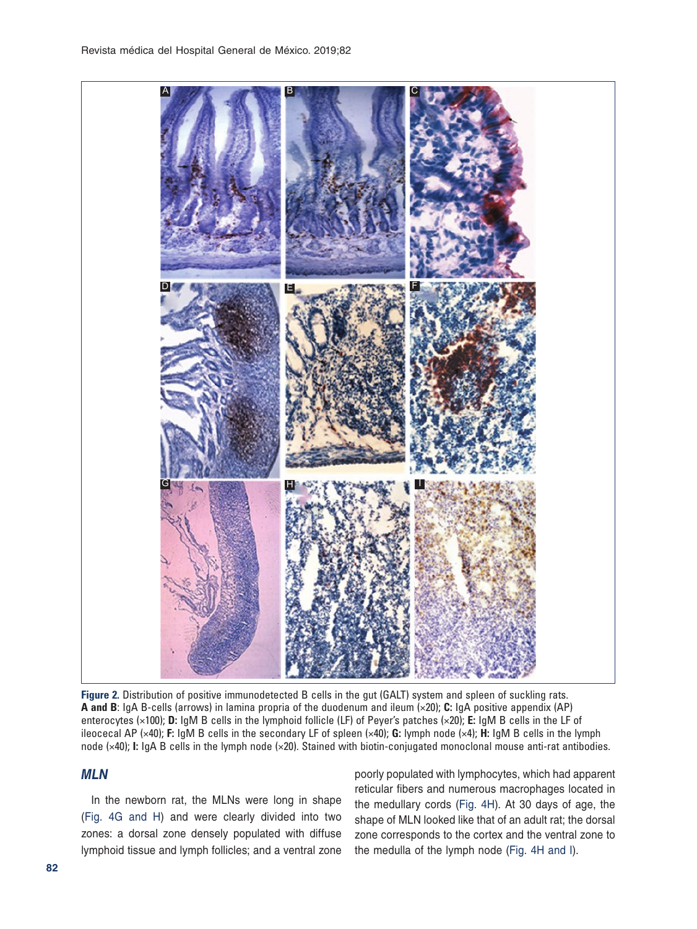<span id="page-4-0"></span>

**Figure 2.** Distribution of positive immunodetected B cells in the gut (GALT) system and spleen of suckling rats. **A and B**: IgA B-cells (arrows) in lamina propria of the duodenum and ileum (×20); **C:** IgA positive appendix (AP) enterocytes (×100); **D:** IgM B cells in the lymphoid follicle (LF) of Peyer's patches (×20); **E:** IgM B cells in the LF of ileocecal AP (×40); **F:** IgM B cells in the secondary LF of spleen (×40); **G:** lymph node (×4); **H:** IgM B cells in the lymph node (×40); **I:** IgA B cells in the lymph node (×20). Stained with biotin-conjugated monoclonal mouse anti-rat antibodies.

# *MLN*

In the newborn rat, the MLNs were long in shape [\(Fig. 4G and H](#page-6-0)) and were clearly divided into two zones: a dorsal zone densely populated with diffuse lymphoid tissue and lymph follicles; and a ventral zone

poorly populated with lymphocytes, which had apparent reticular fibers and numerous macrophages located in the medullary cords [\(Fig. 4H\)](#page-6-0). At 30 days of age, the shape of MLN looked like that of an adult rat; the dorsal zone corresponds to the cortex and the ventral zone to the medulla of the lymph node [\(Fig. 4H and I](#page-6-0)).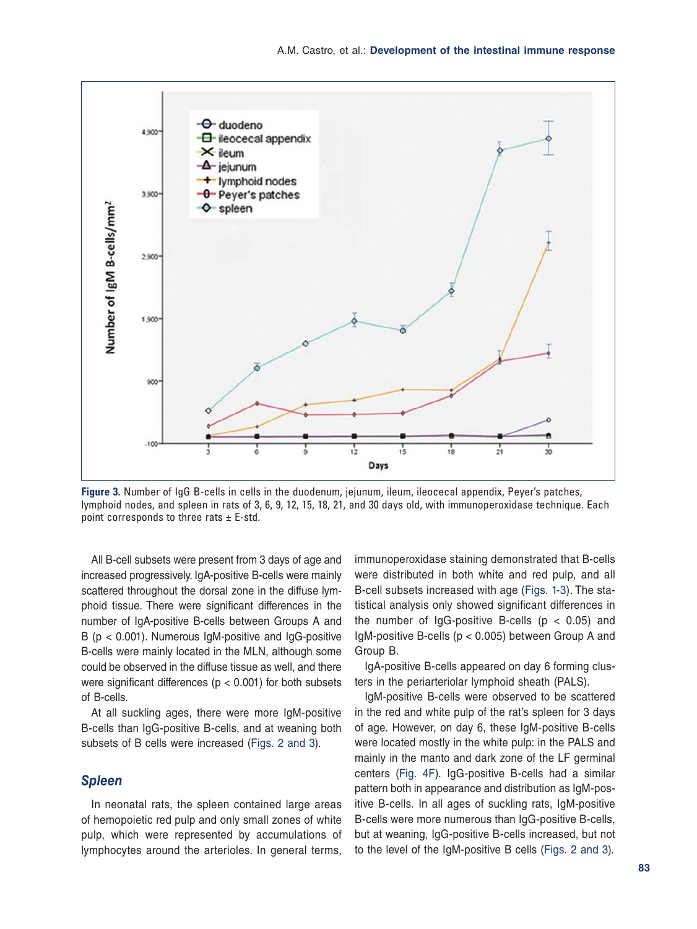<span id="page-5-0"></span>

**Figure 3.** Number of IgG B-cells in cells in the duodenum, jejunum, ileum, ileocecal appendix, Peyer's patches, lymphoid nodes, and spleen in rats of 3, 6, 9, 12, 15, 18, 21, and 30 days old, with immunoperoxidase technique. Each point corresponds to three rats  $\pm$  E-std.

All B-cell subsets were present from 3 days of age and increased progressively. IgA-positive B-cells were mainly scattered throughout the dorsal zone in the diffuse lymphoid tissue. There were significant differences in the number of IgA-positive B-cells between Groups A and  $B$  ( $p < 0.001$ ). Numerous IgM-positive and IgG-positive B-cells were mainly located in the MLN, although some could be observed in the diffuse tissue as well, and there were significant differences ( $p < 0.001$ ) for both subsets of B-cells.

At all suckling ages, there were more IgM-positive B-cells than IgG-positive B-cells, and at weaning both subsets of B cells were increased ([Figs. 2](#page-4-0) and 3).

## *Spleen*

In neonatal rats, the spleen contained large areas of hemopoietic red pulp and only small zones of white pulp, which were represented by accumulations of lymphocytes around the arterioles. In general terms,

immunoperoxidase staining demonstrated that B-cells were distributed in both white and red pulp, and all B-cell subsets increased with age ([Figs. 1-](#page-3-0)3). The statistical analysis only showed significant differences in the number of IgG-positive B-cells ( $p < 0.05$ ) and IgM-positive B-cells (p < 0.005) between Group A and Group B.

IgA-positive B-cells appeared on day 6 forming clusters in the periarteriolar lymphoid sheath (PALS).

IgM-positive B-cells were observed to be scattered in the red and white pulp of the rat's spleen for 3 days of age. However, on day 6, these IgM-positive B-cells were located mostly in the white pulp: in the PALS and mainly in the manto and dark zone of the LF germinal centers [\(Fig. 4F\)](#page-6-0). IgG-positive B-cells had a similar pattern both in appearance and distribution as IgM-positive B-cells. In all ages of suckling rats, IgM-positive B-cells were more numerous than IgG-positive B-cells, but at weaning, IgG-positive B-cells increased, but not to the level of the IgM-positive B cells [\(Figs. 2](#page-4-0) and 3).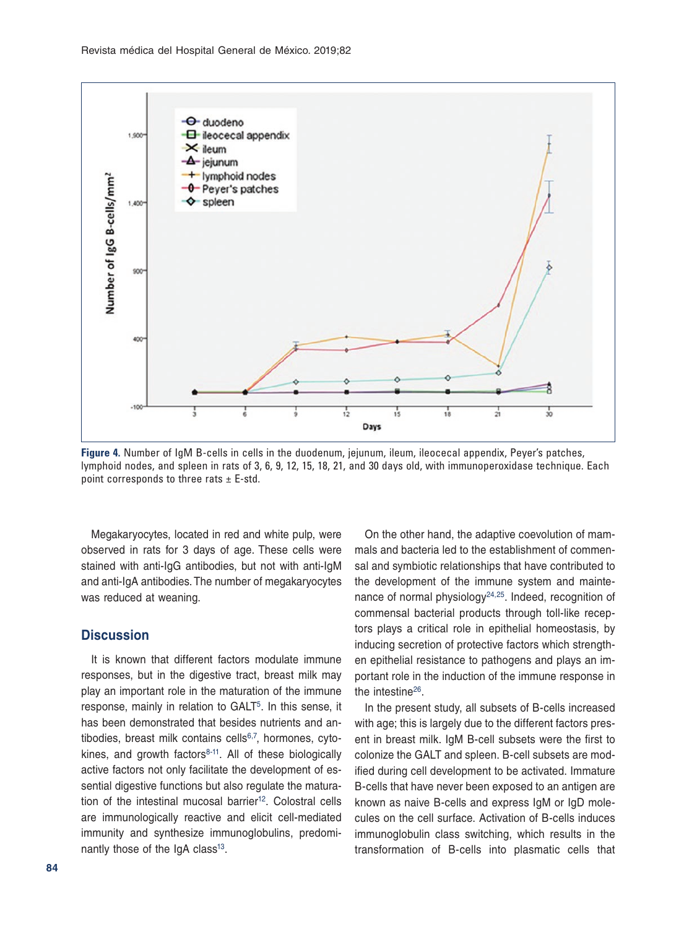<span id="page-6-0"></span>

**Figure 4.** Number of IgM B-cells in cells in the duodenum, jejunum, ileum, ileocecal appendix, Peyer's patches, lymphoid nodes, and spleen in rats of 3, 6, 9, 12, 15, 18, 21, and 30 days old, with immunoperoxidase technique. Each point corresponds to three rats  $\pm$  E-std.

Megakaryocytes, located in red and white pulp, were observed in rats for 3 days of age. These cells were stained with anti-IgG antibodies, but not with anti-IgM and anti-IgA antibodies. The number of megakaryocytes was reduced at weaning.

## **Discussion**

It is known that different factors modulate immune responses, but in the digestive tract, breast milk may play an important role in the maturation of the immune response, mainly in relation to GALT<sup>5</sup>. In this sense, it has been demonstrated that besides nutrients and an-tibodies, breast milk contains cells<sup>[6](#page-8-5)[,7](#page-8-6)</sup>, hormones, cytokines, and growth factors $8-11$  $8-11$ . All of these biologically active factors not only facilitate the development of essential digestive functions but also regulate the matura-tion of the intestinal mucosal barrier<sup>[12](#page-8-11)</sup>. Colostral cells are immunologically reactive and elicit cell-mediated immunity and synthesize immunoglobulins, predominantly those of the IgA class<sup>13</sup>.

**84**

On the other hand, the adaptive coevolution of mammals and bacteria led to the establishment of commensal and symbiotic relationships that have contributed to the development of the immune system and mainte-nance of normal physiology<sup>[24,](#page-8-20)[25](#page-8-21)</sup>. Indeed, recognition of commensal bacterial products through toll-like receptors plays a critical role in epithelial homeostasis, by inducing secretion of protective factors which strengthen epithelial resistance to pathogens and plays an important role in the induction of the immune response in the intestine<sup>26</sup>.

In the present study, all subsets of B-cells increased with age; this is largely due to the different factors present in breast milk. IgM B-cell subsets were the first to colonize the GALT and spleen. B-cell subsets are modified during cell development to be activated. Immature B-cells that have never been exposed to an antigen are known as naive B-cells and express IgM or IgD molecules on the cell surface. Activation of B-cells induces immunoglobulin class switching, which results in the transformation of B-cells into plasmatic cells that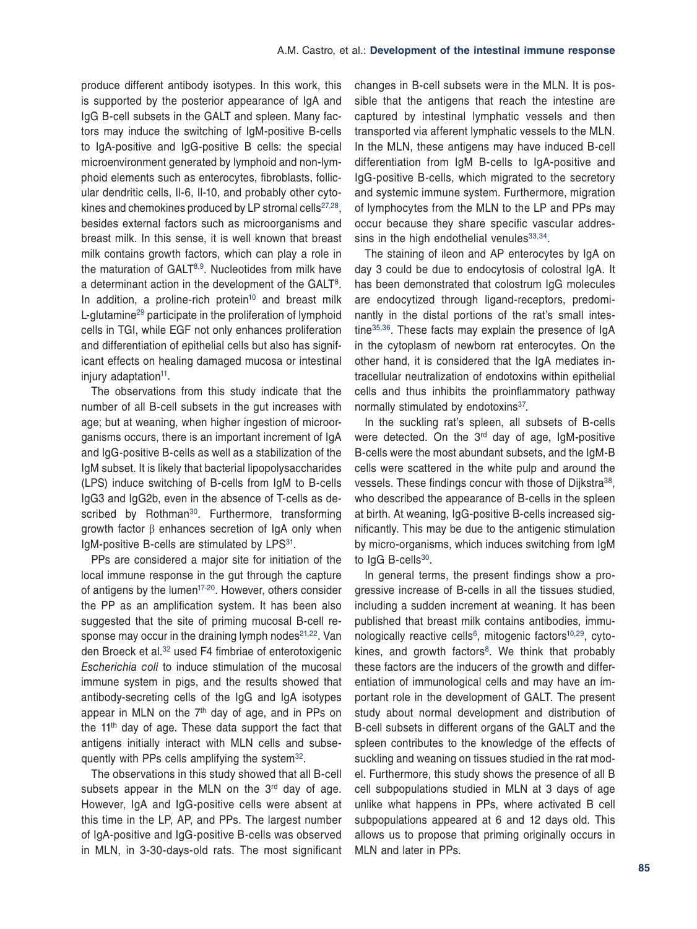produce different antibody isotypes. In this work, this is supported by the posterior appearance of IgA and IgG B-cell subsets in the GALT and spleen. Many factors may induce the switching of IgM-positive B-cells to IgA-positive and IgG-positive B cells: the special microenvironment generated by lymphoid and non-lymphoid elements such as enterocytes, fibroblasts, follicular dendritic cells, Il-6, Il-10, and probably other cytokines and chemokines produced by LP stromal cells $27,28$  $27,28$ , besides external factors such as microorganisms and breast milk. In this sense, it is well known that breast milk contains growth factors, which can play a role in the maturation of  $GALT^{8,9}$  $GALT^{8,9}$  $GALT^{8,9}$  $GALT^{8,9}$  $GALT^{8,9}$ . Nucleotides from milk have a determinant action in the development of the GALT<sup>8</sup>. In addition, a proline-rich protein<sup>10</sup> and breast milk L-glutamine[29](#page-8-25) participate in the proliferation of lymphoid cells in TGI, while EGF not only enhances proliferation and differentiation of epithelial cells but also has significant effects on healing damaged mucosa or intestinal injury adaptation<sup>11</sup>.

The observations from this study indicate that the number of all B-cell subsets in the gut increases with age; but at weaning, when higher ingestion of microorganisms occurs, there is an important increment of IgA and IgG-positive B-cells as well as a stabilization of the IgM subset. It is likely that bacterial lipopolysaccharides (LPS) induce switching of B-cells from IgM to B-cells IgG3 and IgG2b, even in the absence of T-cells as de-scribed by Rothman<sup>[30](#page-8-26)</sup>. Furthermore, transforming growth factor β enhances secretion of IgA only when IgM-positive B-cells are stimulated by LPS<sup>31</sup>.

PPs are considered a major site for initiation of the local immune response in the gut through the capture of antigens by the lumen<sup>17-20</sup>. However, others consider the PP as an amplification system. It has been also suggested that the site of priming mucosal B-cell response may occur in the draining lymph nodes $21,22$  $21,22$ . Van den Broeck et al.<sup>32</sup> used F4 fimbriae of enterotoxigenic *Escherichia coli* to induce stimulation of the mucosal immune system in pigs, and the results showed that antibody-secreting cells of the IgG and IgA isotypes appear in MLN on the  $7<sup>th</sup>$  day of age, and in PPs on the  $11<sup>th</sup>$  day of age. These data support the fact that antigens initially interact with MLN cells and subsequently with PPs cells amplifying the system<sup>32</sup>.

The observations in this study showed that all B-cell subsets appear in the MLN on the  $3<sup>rd</sup>$  day of age. However, IgA and IgG-positive cells were absent at this time in the LP, AP, and PPs. The largest number of IgA-positive and IgG-positive B-cells was observed in MLN, in 3-30-days-old rats. The most significant changes in B-cell subsets were in the MLN. It is possible that the antigens that reach the intestine are captured by intestinal lymphatic vessels and then transported via afferent lymphatic vessels to the MLN. In the MLN, these antigens may have induced B-cell differentiation from IgM B-cells to IgA-positive and IgG-positive B-cells, which migrated to the secretory and systemic immune system. Furthermore, migration of lymphocytes from the MLN to the LP and PPs may occur because they share specific vascular addressins in the high endothelial venules  $33,34$  $33,34$ .

The staining of ileon and AP enterocytes by IgA on day 3 could be due to endocytosis of colostral IgA. It has been demonstrated that colostrum IgG molecules are endocytized through ligand-receptors, predominantly in the distal portions of the rat's small intestine<sup>35,36</sup>. These facts may explain the presence of IgA in the cytoplasm of newborn rat enterocytes. On the other hand, it is considered that the IgA mediates intracellular neutralization of endotoxins within epithelial cells and thus inhibits the proinflammatory pathway normally stimulated by endotoxins<sup>[37](#page-8-33)</sup>.

In the suckling rat's spleen, all subsets of B-cells were detected. On the 3<sup>rd</sup> day of age, IgM-positive B-cells were the most abundant subsets, and the IgM-B cells were scattered in the white pulp and around the vessels. These findings concur with those of Diikstra<sup>38</sup>. who described the appearance of B-cells in the spleen at birth. At weaning, IgG-positive B-cells increased significantly. This may be due to the antigenic stimulation by micro-organisms, which induces switching from IgM to IgG B-cells<sup>30</sup>.

In general terms, the present findings show a progressive increase of B-cells in all the tissues studied, including a sudden increment at weaning. It has been published that breast milk contains antibodies, immu-nologically reactive cells<sup>6</sup>, mitogenic factors<sup>10,[29](#page-8-25)</sup>, cytokines, and growth factors $8$ . We think that probably these factors are the inducers of the growth and differentiation of immunological cells and may have an important role in the development of GALT. The present study about normal development and distribution of B-cell subsets in different organs of the GALT and the spleen contributes to the knowledge of the effects of suckling and weaning on tissues studied in the rat model. Furthermore, this study shows the presence of all B cell subpopulations studied in MLN at 3 days of age unlike what happens in PPs, where activated B cell subpopulations appeared at 6 and 12 days old. This allows us to propose that priming originally occurs in MLN and later in PPs.